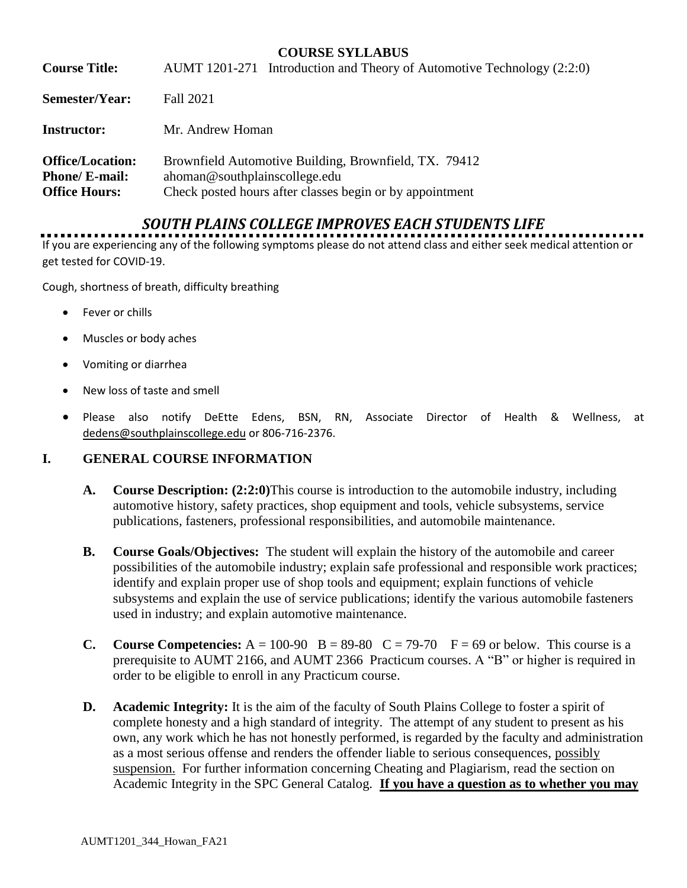### **COURSE SYLLABUS**

| <b>Course Title:</b>                                                     | AUMT 1201-271 Introduction and Theory of Automotive Technology (2:2:0)                                                                             |
|--------------------------------------------------------------------------|----------------------------------------------------------------------------------------------------------------------------------------------------|
| Semester/Year:                                                           | Fall 2021                                                                                                                                          |
| <b>Instructor:</b>                                                       | Mr. Andrew Homan                                                                                                                                   |
| <b>Office/Location:</b><br><b>Phone/ E-mail:</b><br><b>Office Hours:</b> | Brownfield Automotive Building, Brownfield, TX. 79412<br>ahoman@southplainscollege.edu<br>Check posted hours after classes begin or by appointment |

# *SOUTH PLAINS COLLEGE IMPROVES EACH STUDENTS LIFE*

If you are experiencing any of the following symptoms please do not attend class and either seek medical attention or get tested for COVID-19.

Cough, shortness of breath, difficulty breathing

- Fever or chills
- Muscles or body aches
- Vomiting or diarrhea
- New loss of taste and smell
- Please also notify DeEtte Edens, BSN, RN, Associate Director of Health & Wellness, at [dedens@southplainscollege.edu](mailto:dedens@southplainscollege.edu) or 806-716-2376.

#### **I. GENERAL COURSE INFORMATION**

- **A. Course Description: (2:2:0)**This course is introduction to the automobile industry, including automotive history, safety practices, shop equipment and tools, vehicle subsystems, service publications, fasteners, professional responsibilities, and automobile maintenance.
- **B. Course Goals/Objectives:** The student will explain the history of the automobile and career possibilities of the automobile industry; explain safe professional and responsible work practices; identify and explain proper use of shop tools and equipment; explain functions of vehicle subsystems and explain the use of service publications; identify the various automobile fasteners used in industry; and explain automotive maintenance.
- **C.** Course Competencies:  $A = 100-90$  B = 89-80 C = 79-70 F = 69 or below. This course is a prerequisite to AUMT 2166, and AUMT 2366 Practicum courses. A "B" or higher is required in order to be eligible to enroll in any Practicum course.
- **D. Academic Integrity:** It is the aim of the faculty of South Plains College to foster a spirit of complete honesty and a high standard of integrity. The attempt of any student to present as his own, any work which he has not honestly performed, is regarded by the faculty and administration as a most serious offense and renders the offender liable to serious consequences, possibly suspension. For further information concerning Cheating and Plagiarism, read the section on Academic Integrity in the SPC General Catalog. **If you have a question as to whether you may**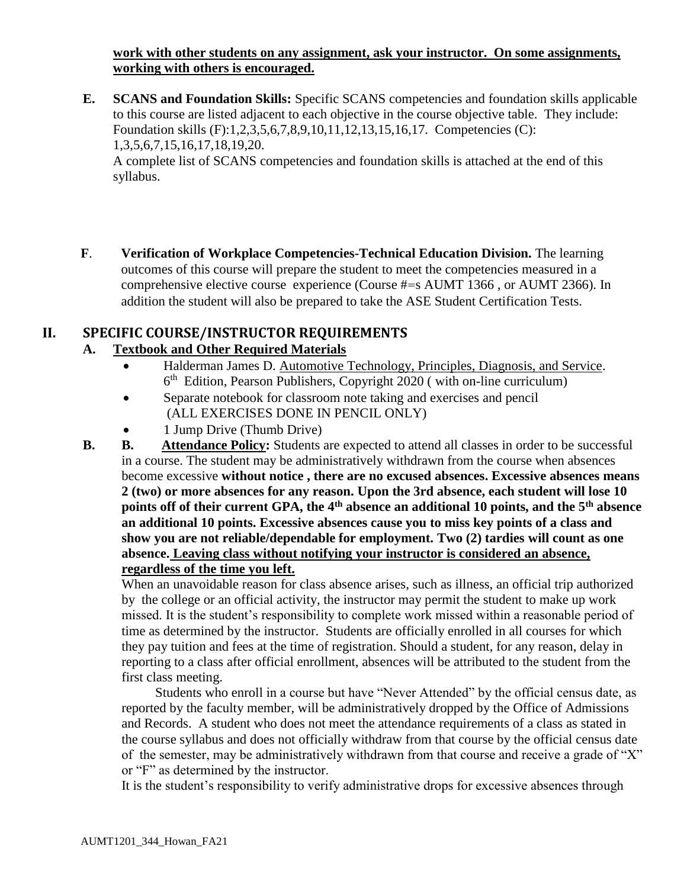**work with other students on any assignment, ask your instructor. On some assignments, working with others is encouraged.**

- **E. SCANS and Foundation Skills:** Specific SCANS competencies and foundation skills applicable to this course are listed adjacent to each objective in the course objective table. They include: Foundation skills (F):1,2,3,5,6,7,8,9,10,11,12,13,15,16,17. Competencies (C): 1,3,5,6,7,15,16,17,18,19,20. A complete list of SCANS competencies and foundation skills is attached at the end of this syllabus.
- **F**. **Verification of Workplace Competencies-Technical Education Division.** The learning outcomes of this course will prepare the student to meet the competencies measured in a comprehensive elective course experience (Course #=s AUMT 1366 , or AUMT 2366). In addition the student will also be prepared to take the ASE Student Certification Tests.

# **II. SPECIFIC COURSE/INSTRUCTOR REQUIREMENTS**

# **A. Textbook and Other Required Materials**

- Halderman James D. Automotive Technology, Principles, Diagnosis, and Service. 6<sup>th</sup> Edition, Pearson Publishers, Copyright 2020 (with on-line curriculum)
- Separate notebook for classroom note taking and exercises and pencil (ALL EXERCISES DONE IN PENCIL ONLY)
- 1 Jump Drive (Thumb Drive)
- **B. B. Attendance Policy:** Students are expected to attend all classes in order to be successful in a course. The student may be administratively withdrawn from the course when absences become excessive **without notice , there are no excused absences. Excessive absences means 2 (two) or more absences for any reason. Upon the 3rd absence, each student will lose 10 points off of their current GPA, the 4th absence an additional 10 points, and the 5th absence an additional 10 points. Excessive absences cause you to miss key points of a class and show you are not reliable/dependable for employment. Two (2) tardies will count as one absence. Leaving class without notifying your instructor is considered an absence, regardless of the time you left.**

When an unavoidable reason for class absence arises, such as illness, an official trip authorized by the college or an official activity, the instructor may permit the student to make up work missed. It is the student's responsibility to complete work missed within a reasonable period of time as determined by the instructor. Students are officially enrolled in all courses for which they pay tuition and fees at the time of registration. Should a student, for any reason, delay in reporting to a class after official enrollment, absences will be attributed to the student from the first class meeting.

 Students who enroll in a course but have "Never Attended" by the official census date, as reported by the faculty member, will be administratively dropped by the Office of Admissions and Records. A student who does not meet the attendance requirements of a class as stated in the course syllabus and does not officially withdraw from that course by the official census date of the semester, may be administratively withdrawn from that course and receive a grade of "X" or "F" as determined by the instructor.

It is the student's responsibility to verify administrative drops for excessive absences through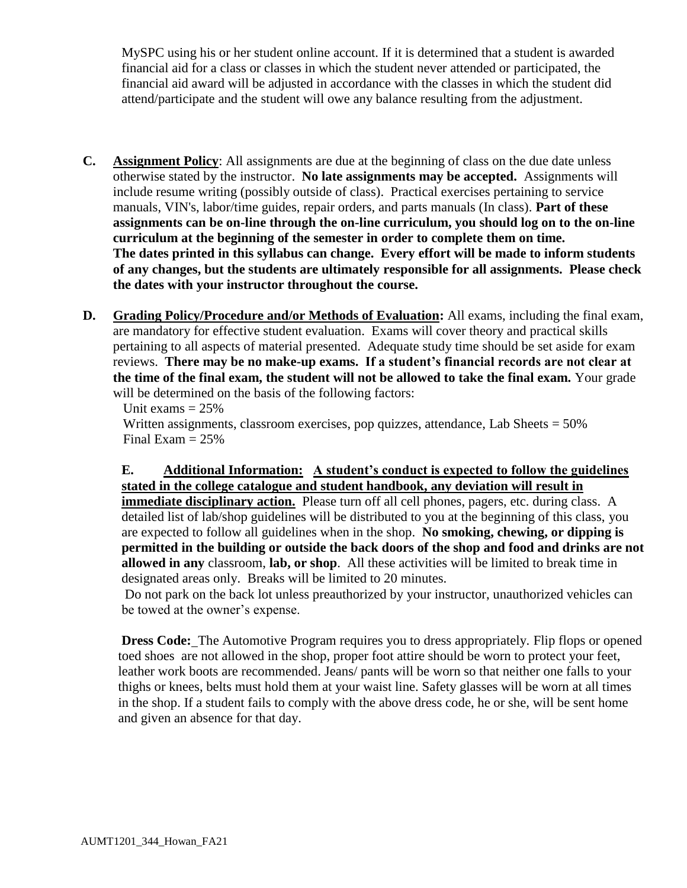MySPC using his or her student online account. If it is determined that a student is awarded financial aid for a class or classes in which the student never attended or participated, the financial aid award will be adjusted in accordance with the classes in which the student did attend/participate and the student will owe any balance resulting from the adjustment.

- **C. Assignment Policy**: All assignments are due at the beginning of class on the due date unless otherwise stated by the instructor. **No late assignments may be accepted.** Assignments will include resume writing (possibly outside of class). Practical exercises pertaining to service manuals, VIN's, labor/time guides, repair orders, and parts manuals (In class). **Part of these assignments can be on-line through the on-line curriculum, you should log on to the on-line curriculum at the beginning of the semester in order to complete them on time. The dates printed in this syllabus can change. Every effort will be made to inform students of any changes, but the students are ultimately responsible for all assignments. Please check the dates with your instructor throughout the course.**
- **D. Grading Policy/Procedure and/or Methods of Evaluation:** All exams, including the final exam, are mandatory for effective student evaluation. Exams will cover theory and practical skills pertaining to all aspects of material presented. Adequate study time should be set aside for exam reviews. **There may be no make-up exams. If a student's financial records are not clear at the time of the final exam, the student will not be allowed to take the final exam.** Your grade will be determined on the basis of the following factors:

Unit exams  $= 25\%$ Written assignments, classroom exercises, pop quizzes, attendance, Lab Sheets = 50% Final Exam  $= 25\%$ 

**E. Additional Information: A student's conduct is expected to follow the guidelines stated in the college catalogue and student handbook, any deviation will result in immediate disciplinary action.** Please turn off all cell phones, pagers, etc. during class. A

detailed list of lab/shop guidelines will be distributed to you at the beginning of this class, you are expected to follow all guidelines when in the shop. **No smoking, chewing, or dipping is permitted in the building or outside the back doors of the shop and food and drinks are not allowed in any** classroom, **lab, or shop**. All these activities will be limited to break time in designated areas only. Breaks will be limited to 20 minutes.

Do not park on the back lot unless preauthorized by your instructor, unauthorized vehicles can be towed at the owner's expense.

**Dress Code:** The Automotive Program requires you to dress appropriately. Flip flops or opened toed shoes are not allowed in the shop, proper foot attire should be worn to protect your feet, leather work boots are recommended. Jeans/ pants will be worn so that neither one falls to your thighs or knees, belts must hold them at your waist line. Safety glasses will be worn at all times in the shop. If a student fails to comply with the above dress code, he or she, will be sent home and given an absence for that day.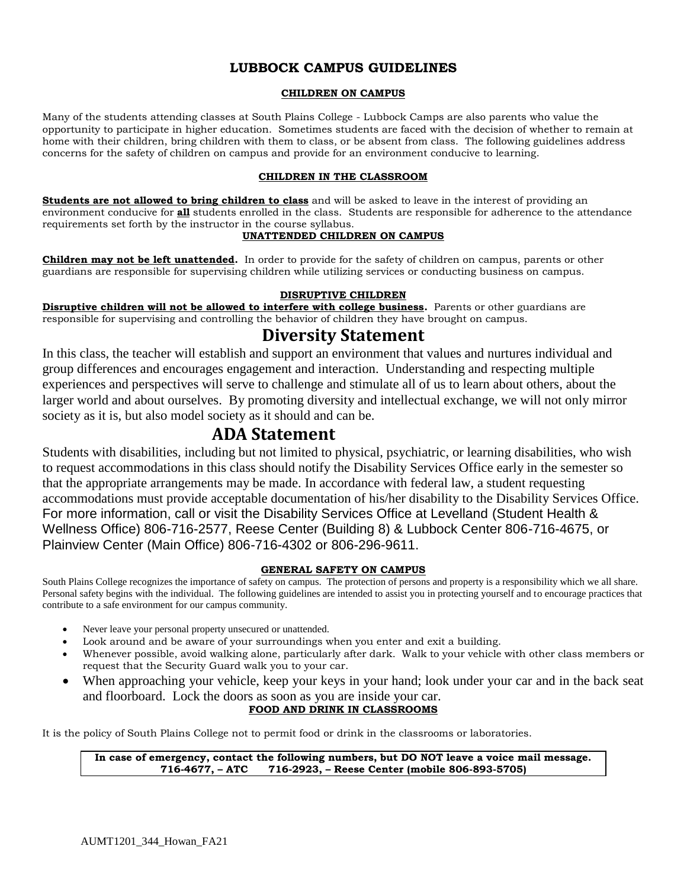### **LUBBOCK CAMPUS GUIDELINES**

#### **CHILDREN ON CAMPUS**

Many of the students attending classes at South Plains College - Lubbock Camps are also parents who value the opportunity to participate in higher education. Sometimes students are faced with the decision of whether to remain at home with their children, bring children with them to class, or be absent from class. The following guidelines address concerns for the safety of children on campus and provide for an environment conducive to learning.

#### **CHILDREN IN THE CLASSROOM**

**Students are not allowed to bring children to class** and will be asked to leave in the interest of providing an environment conducive for **all** students enrolled in the class. Students are responsible for adherence to the attendance requirements set forth by the instructor in the course syllabus.

#### **UNATTENDED CHILDREN ON CAMPUS**

**Children may not be left unattended.** In order to provide for the safety of children on campus, parents or other guardians are responsible for supervising children while utilizing services or conducting business on campus.

#### **DISRUPTIVE CHILDREN**

**Disruptive children will not be allowed to interfere with college business.** Parents or other guardians are responsible for supervising and controlling the behavior of children they have brought on campus.

# **Diversity Statement**

In this class, the teacher will establish and support an environment that values and nurtures individual and group differences and encourages engagement and interaction. Understanding and respecting multiple experiences and perspectives will serve to challenge and stimulate all of us to learn about others, about the larger world and about ourselves. By promoting diversity and intellectual exchange, we will not only mirror society as it is, but also model society as it should and can be.

# **ADA Statement**

Students with disabilities, including but not limited to physical, psychiatric, or learning disabilities, who wish to request accommodations in this class should notify the Disability Services Office early in the semester so that the appropriate arrangements may be made. In accordance with federal law, a student requesting accommodations must provide acceptable documentation of his/her disability to the Disability Services Office. For more information, call or visit the Disability Services Office at Levelland (Student Health & Wellness Office) 806-716-2577, Reese Center (Building 8) & Lubbock Center 806-716-4675, or Plainview Center (Main Office) 806-716-4302 or 806-296-9611.

#### **GENERAL SAFETY ON CAMPUS**

South Plains College recognizes the importance of safety on campus. The protection of persons and property is a responsibility which we all share. Personal safety begins with the individual. The following guidelines are intended to assist you in protecting yourself and to encourage practices that contribute to a safe environment for our campus community.

- Never leave your personal property unsecured or unattended.
- Look around and be aware of your surroundings when you enter and exit a building.
- Whenever possible, avoid walking alone, particularly after dark. Walk to your vehicle with other class members or request that the Security Guard walk you to your car.
- When approaching your vehicle, keep your keys in your hand; look under your car and in the back seat and floorboard. Lock the doors as soon as you are inside your car.

#### **FOOD AND DRINK IN CLASSROOMS**

It is the policy of South Plains College not to permit food or drink in the classrooms or laboratories.

**In case of emergency, contact the following numbers, but DO NOT leave a voice mail message. 716-4677, – ATC 716-2923, – Reese Center (mobile 806-893-5705)**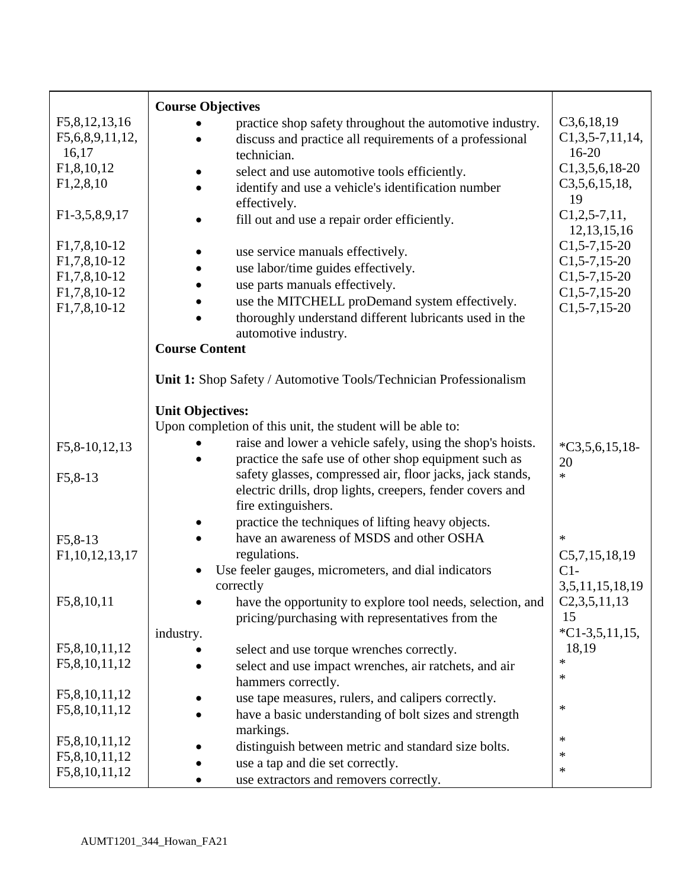|                                  | <b>Course Objectives</b>                                                                      |                       |
|----------------------------------|-----------------------------------------------------------------------------------------------|-----------------------|
| F5,8,12,13,16                    | practice shop safety throughout the automotive industry.                                      | C3,6,18,19            |
| F5,6,8,9,11,12,                  | discuss and practice all requirements of a professional                                       | $C1, 3, 5-7, 11, 14,$ |
| 16,17                            | technician.                                                                                   | $16 - 20$             |
| F1,8,10,12                       | select and use automotive tools efficiently.                                                  | $C1,3,5,6,18-20$      |
| F1,2,8,10                        | identify and use a vehicle's identification number                                            | C3,5,6,15,18,<br>19   |
| F1-3,5,8,9,17                    | effectively.                                                                                  | $C1, 2, 5-7, 11,$     |
|                                  | fill out and use a repair order efficiently.                                                  | 12, 13, 15, 16        |
| F <sub>1</sub> ,7,8,10-12        | use service manuals effectively.                                                              | $C1, 5-7, 15-20$      |
| F <sub>1</sub> ,7,8,10-12        | use labor/time guides effectively.                                                            | $C1, 5-7, 15-20$      |
| F1,7,8,10-12                     | use parts manuals effectively.                                                                | $C1, 5-7, 15-20$      |
| F <sub>1</sub> ,7,8,10-12        | use the MITCHELL proDemand system effectively.                                                | $C1, 5-7, 15-20$      |
| F1,7,8,10-12                     | thoroughly understand different lubricants used in the<br>automotive industry.                | $C1, 5-7, 15-20$      |
|                                  | <b>Course Content</b>                                                                         |                       |
|                                  |                                                                                               |                       |
|                                  | Unit 1: Shop Safety / Automotive Tools/Technician Professionalism                             |                       |
|                                  | <b>Unit Objectives:</b>                                                                       |                       |
|                                  | Upon completion of this unit, the student will be able to:                                    |                       |
| F5,8-10,12,13                    | raise and lower a vehicle safely, using the shop's hoists.                                    | $*C3,5,6,15,18$ -     |
|                                  | practice the safe use of other shop equipment such as                                         | 20                    |
| $F5, 8-13$                       | safety glasses, compressed air, floor jacks, jack stands,                                     | $\ast$                |
|                                  | electric drills, drop lights, creepers, fender covers and                                     |                       |
|                                  | fire extinguishers.                                                                           |                       |
|                                  | practice the techniques of lifting heavy objects.<br>have an awareness of MSDS and other OSHA | $\ast$                |
| $F5, 8-13$<br>F1, 10, 12, 13, 17 | regulations.                                                                                  | C5,7,15,18,19         |
|                                  | Use feeler gauges, micrometers, and dial indicators                                           | $C1-$                 |
|                                  | correctly                                                                                     | 3,5,11,15,18,19       |
| F5,8,10,11                       | have the opportunity to explore tool needs, selection, and                                    | C2,3,5,11,13          |
|                                  | pricing/purchasing with representatives from the                                              | 15                    |
|                                  | industry.                                                                                     | $*C1-3,5,11,15,$      |
| F5,8,10,11,12                    | select and use torque wrenches correctly.                                                     | 18,19                 |
| F5,8,10,11,12                    | select and use impact wrenches, air ratchets, and air                                         | $\ast$                |
|                                  | hammers correctly.                                                                            | ∗                     |
| F5,8,10,11,12<br>F5,8,10,11,12   | use tape measures, rulers, and calipers correctly.                                            | $\ast$                |
|                                  | have a basic understanding of bolt sizes and strength                                         |                       |
| F5,8,10,11,12                    | markings.                                                                                     | $\ast$                |
| F5,8,10,11,12                    | distinguish between metric and standard size bolts.                                           | $\ast$                |
| F5,8,10,11,12                    | use a tap and die set correctly.<br>use extractors and removers correctly.                    | $\ast$                |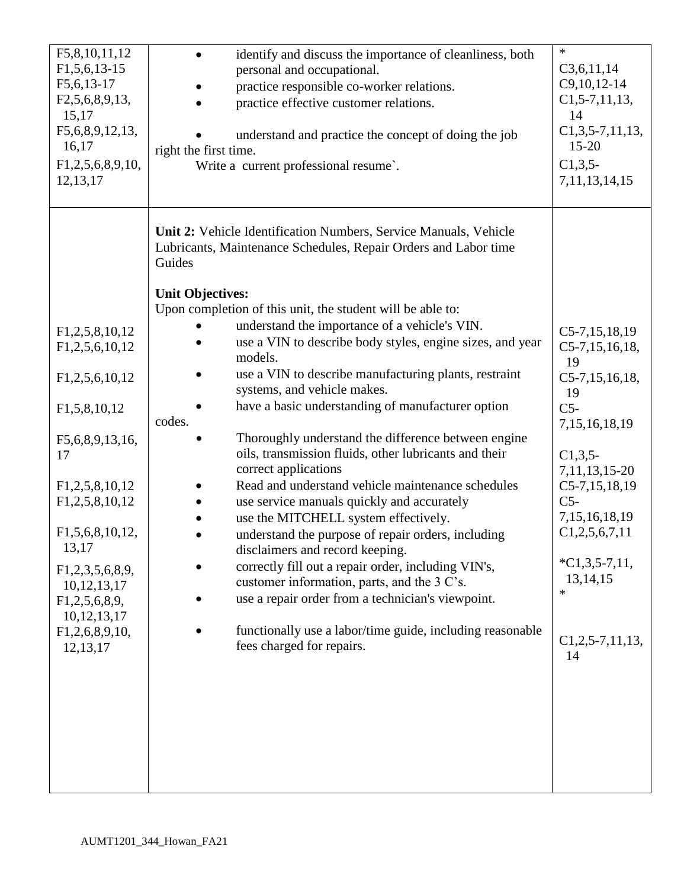| F5,8,10,11,12<br>$F1, 5, 6, 13-15$<br>F5,6,13-17<br>F2,5,6,8,9,13,<br>15,17<br>F5,6,8,9,12,13,<br>16,17<br>F1,2,5,6,8,9,10,<br>12, 13, 17                                                                                                                                             | identify and discuss the importance of cleanliness, both<br>$\bullet$<br>personal and occupational.<br>practice responsible co-worker relations.<br>practice effective customer relations.<br>understand and practice the concept of doing the job<br>right the first time.<br>Write a current professional resume.                                                                                                                                                                                                                                                                                                                                                                                                                                                                                                                                                                                                                                                                                                                                                                                                                                     | $\ast$<br>C3,6,11,14<br>$C9, 10, 12-14$<br>$C1, 5-7, 11, 13,$<br>14<br>$C1, 3, 5-7, 11, 13,$<br>$15 - 20$<br>$C1, 3, 5$ -<br>7, 11, 13, 14, 15                                                                                                                                                       |
|---------------------------------------------------------------------------------------------------------------------------------------------------------------------------------------------------------------------------------------------------------------------------------------|---------------------------------------------------------------------------------------------------------------------------------------------------------------------------------------------------------------------------------------------------------------------------------------------------------------------------------------------------------------------------------------------------------------------------------------------------------------------------------------------------------------------------------------------------------------------------------------------------------------------------------------------------------------------------------------------------------------------------------------------------------------------------------------------------------------------------------------------------------------------------------------------------------------------------------------------------------------------------------------------------------------------------------------------------------------------------------------------------------------------------------------------------------|------------------------------------------------------------------------------------------------------------------------------------------------------------------------------------------------------------------------------------------------------------------------------------------------------|
| F1,2,5,8,10,12<br>F1,2,5,6,10,12<br>F1,2,5,6,10,12<br>F1,5,8,10,12<br>F5,6,8,9,13,16,<br>17<br>F1,2,5,8,10,12<br>F <sub>1</sub> , 2, 5, 8, 10, 12<br>F1,5,6,8,10,12,<br>13,17<br>F1,2,3,5,6,8,9,<br>10, 12, 13, 17<br>F1,2,5,6,8,9,<br>10, 12, 13, 17<br>F1,2,6,8,9,10,<br>12, 13, 17 | Unit 2: Vehicle Identification Numbers, Service Manuals, Vehicle<br>Lubricants, Maintenance Schedules, Repair Orders and Labor time<br>Guides<br><b>Unit Objectives:</b><br>Upon completion of this unit, the student will be able to:<br>understand the importance of a vehicle's VIN.<br>use a VIN to describe body styles, engine sizes, and year<br>models.<br>use a VIN to describe manufacturing plants, restraint<br>systems, and vehicle makes.<br>have a basic understanding of manufacturer option<br>codes.<br>Thoroughly understand the difference between engine<br>oils, transmission fluids, other lubricants and their<br>correct applications<br>Read and understand vehicle maintenance schedules<br>use service manuals quickly and accurately<br>use the MITCHELL system effectively.<br>understand the purpose of repair orders, including<br>disclaimers and record keeping.<br>correctly fill out a repair order, including VIN's,<br>customer information, parts, and the 3 C's.<br>use a repair order from a technician's viewpoint.<br>functionally use a labor/time guide, including reasonable<br>fees charged for repairs. | $C5-7, 15, 18, 19$<br>$C5-7, 15, 16, 18,$<br>19<br>$C5-7, 15, 16, 18,$<br>19<br>$C5-$<br>7, 15, 16, 18, 19<br>$C1, 3, 5$ -<br>7, 11, 13, 15 - 20<br>$C5-7, 15, 18, 19$<br>$C5-$<br>7, 15, 16, 18, 19<br>C1, 2, 5, 6, 7, 11<br>$*C1,3,5-7,11,$<br>13, 14, 15<br>$\ast$<br>$C1, 2, 5-7, 11, 13,$<br>14 |
|                                                                                                                                                                                                                                                                                       |                                                                                                                                                                                                                                                                                                                                                                                                                                                                                                                                                                                                                                                                                                                                                                                                                                                                                                                                                                                                                                                                                                                                                         |                                                                                                                                                                                                                                                                                                      |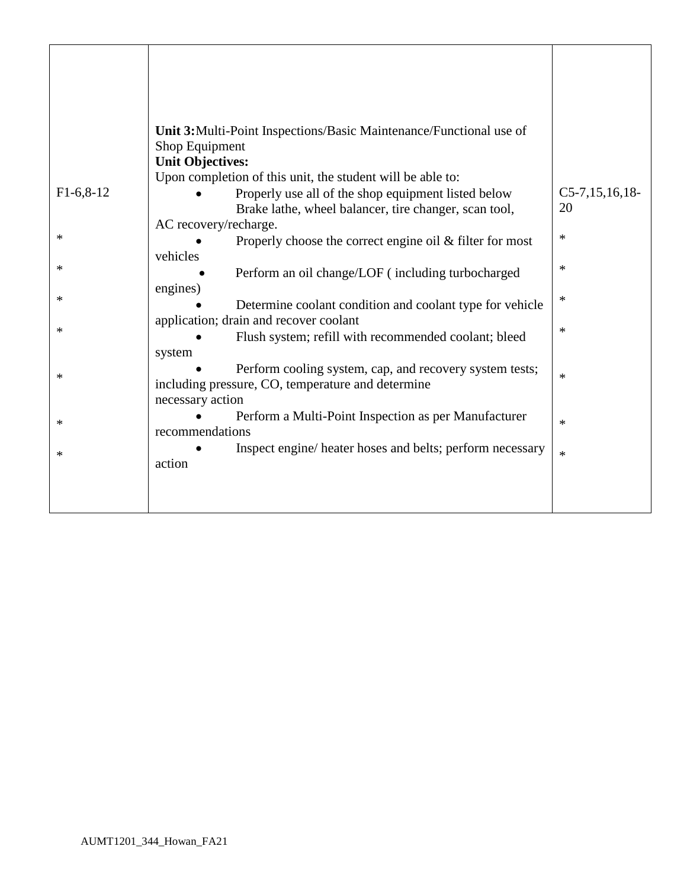|             | <b>Unit 3:</b> Multi-Point Inspections/Basic Maintenance/Functional use of |                     |
|-------------|----------------------------------------------------------------------------|---------------------|
|             | Shop Equipment<br><b>Unit Objectives:</b>                                  |                     |
|             | Upon completion of this unit, the student will be able to:                 |                     |
| $F1-6,8-12$ | Properly use all of the shop equipment listed below                        | $C5-7, 15, 16, 18-$ |
|             | Brake lathe, wheel balancer, tire changer, scan tool,                      | 20                  |
| ∗           | AC recovery/recharge.                                                      | $\ast$              |
|             | Properly choose the correct engine oil $&$ filter for most<br>vehicles     |                     |
| $\ast$      | Perform an oil change/LOF (including turbocharged                          | $\ast$              |
|             | engines)                                                                   |                     |
| ∗           | Determine coolant condition and coolant type for vehicle                   | ∗                   |
|             | application; drain and recover coolant                                     |                     |
| $\ast$      | Flush system; refill with recommended coolant; bleed                       | $\ast$              |
|             | system                                                                     |                     |
| $\ast$      | Perform cooling system, cap, and recovery system tests;                    | $\ast$              |
|             | including pressure, CO, temperature and determine                          |                     |
|             | necessary action                                                           |                     |
| ∗           | Perform a Multi-Point Inspection as per Manufacturer<br>recommendations    | $\ast$              |
|             | Inspect engine/ heater hoses and belts; perform necessary                  |                     |
| $\ast$      | action                                                                     | $\ast$              |
|             |                                                                            |                     |
|             |                                                                            |                     |
|             |                                                                            |                     |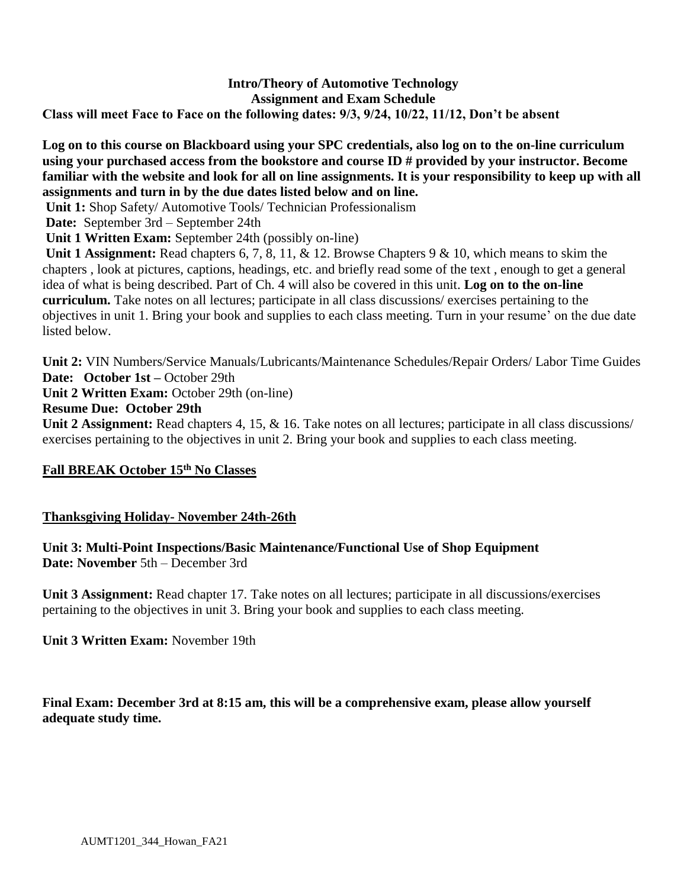### **Intro/Theory of Automotive Technology Assignment and Exam Schedule Class will meet Face to Face on the following dates: 9/3, 9/24, 10/22, 11/12, Don't be absent**

### **Log on to this course on Blackboard using your SPC credentials, also log on to the on-line curriculum using your purchased access from the bookstore and course ID # provided by your instructor. Become familiar with the website and look for all on line assignments. It is your responsibility to keep up with all assignments and turn in by the due dates listed below and on line.**

**Unit 1:** Shop Safety/ Automotive Tools/ Technician Professionalism

**Date:** September 3rd – September 24th

**Unit 1 Written Exam:** September 24th (possibly on-line)

**Unit 1 Assignment:** Read chapters 6, 7, 8, 11, & 12. Browse Chapters 9 & 10, which means to skim the chapters , look at pictures, captions, headings, etc. and briefly read some of the text , enough to get a general idea of what is being described. Part of Ch. 4 will also be covered in this unit. **Log on to the on-line curriculum.** Take notes on all lectures; participate in all class discussions/ exercises pertaining to the objectives in unit 1. Bring your book and supplies to each class meeting. Turn in your resume' on the due date listed below.

**Unit 2:** VIN Numbers/Service Manuals/Lubricants/Maintenance Schedules/Repair Orders/ Labor Time Guides

**Date: October 1st –** October 29th

**Unit 2 Written Exam:** October 29th (on-line)

### **Resume Due: October 29th**

**Unit 2 Assignment:** Read chapters 4, 15, & 16. Take notes on all lectures; participate in all class discussions/ exercises pertaining to the objectives in unit 2. Bring your book and supplies to each class meeting.

### **Fall BREAK October 15 th No Classes**

#### **Thanksgiving Holiday- November 24th-26th**

#### **Unit 3: Multi-Point Inspections/Basic Maintenance/Functional Use of Shop Equipment Date: November** 5th – December 3rd

**Unit 3 Assignment:** Read chapter 17. Take notes on all lectures; participate in all discussions/exercises pertaining to the objectives in unit 3. Bring your book and supplies to each class meeting.

**Unit 3 Written Exam:** November 19th

**Final Exam: December 3rd at 8:15 am, this will be a comprehensive exam, please allow yourself adequate study time.**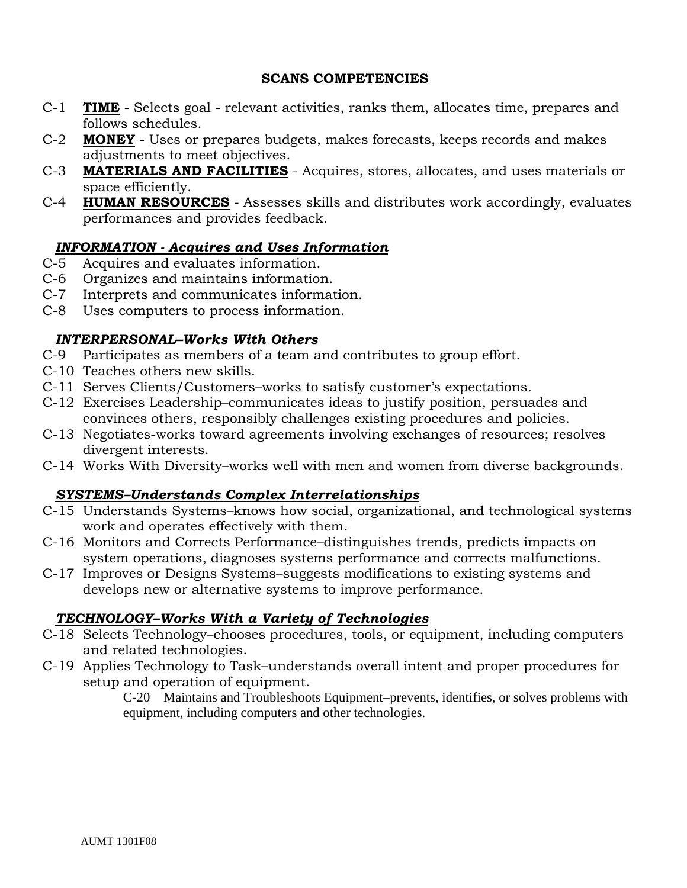### **SCANS COMPETENCIES**

- C-1 **TIME** Selects goal relevant activities, ranks them, allocates time, prepares and follows schedules.
- C-2 **MONEY** Uses or prepares budgets, makes forecasts, keeps records and makes adjustments to meet objectives.
- C-3 **MATERIALS AND FACILITIES** Acquires, stores, allocates, and uses materials or space efficiently.
- C-4 **HUMAN RESOURCES** Assesses skills and distributes work accordingly, evaluates performances and provides feedback.

# *INFORMATION - Acquires and Uses Information*

- C-5 Acquires and evaluates information.
- C-6 Organizes and maintains information.
- C-7 Interprets and communicates information.
- C-8 Uses computers to process information.

# *INTERPERSONAL–Works With Others*

- C-9 Participates as members of a team and contributes to group effort.
- C-10 Teaches others new skills.
- C-11 Serves Clients/Customers–works to satisfy customer's expectations.
- C-12 Exercises Leadership–communicates ideas to justify position, persuades and convinces others, responsibly challenges existing procedures and policies.
- C-13 Negotiates-works toward agreements involving exchanges of resources; resolves divergent interests.
- C-14 Works With Diversity–works well with men and women from diverse backgrounds.

# *SYSTEMS–Understands Complex Interrelationships*

- C-15 Understands Systems–knows how social, organizational, and technological systems work and operates effectively with them.
- C-16 Monitors and Corrects Performance–distinguishes trends, predicts impacts on system operations, diagnoses systems performance and corrects malfunctions.
- C-17 Improves or Designs Systems–suggests modifications to existing systems and develops new or alternative systems to improve performance.

# *TECHNOLOGY–Works With a Variety of Technologies*

- C-18 Selects Technology–chooses procedures, tools, or equipment, including computers and related technologies.
- C-19 Applies Technology to Task–understands overall intent and proper procedures for setup and operation of equipment.

C-20 Maintains and Troubleshoots Equipment–prevents, identifies, or solves problems with equipment, including computers and other technologies.